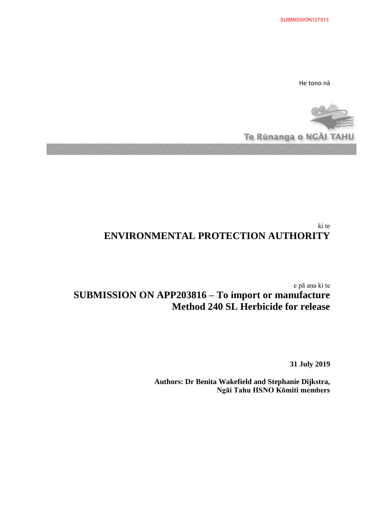He tono nā



# ki te **ENVIRONMENTAL PROTECTION AUTHORITY**

e pā ana ki te **SUBMISSION ON APP203816 – To import or manufacture Method 240 SL Herbicide for release**

**31 July 2019**

**Authors: Dr Benita Wakefield and Stephanie Dijkstra, Ngāi Tahu HSNO Kōmiti members**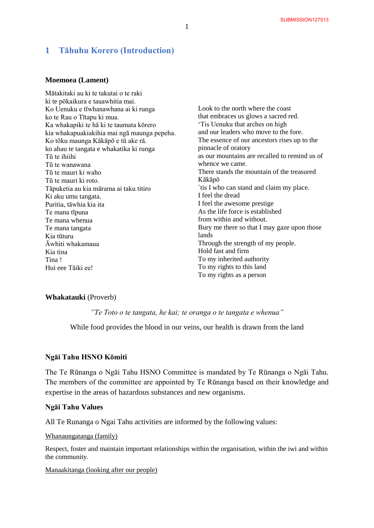# **1 Tāhuhu Korero (Introduction)**

# **Moemoea (Lament)**

| Mātakitaki au ki te takutai o te raki       |                                               |
|---------------------------------------------|-----------------------------------------------|
| ki te pōkaikura e tauawhitia mai.           |                                               |
| Ko Uenuku e tīwhanawhana ai ki runga        | Look to the north where the coast             |
| ko te Rau o Tītapu ki mua.                  | that embraces us glows a sacred red.          |
| Ka whakapiki te hā ki te taumata kōrero     | 'Tis Uenuku that arches on high               |
| kia whakapuakiakihia mai nga maunga pepeha. | and our leaders who move to the fore.         |
| Ko tōku maunga Kākāpō e tū ake rā.          | The essence of our ancestors rises up to the  |
| ko ahau te tangata e whakatika ki runga     | pinnacle of oratory                           |
| Tū te ihiihi                                | as our mountains are recalled to remind us of |
| Tū te wanawana                              | whence we came.                               |
| Tū te mauri ki waho                         | There stands the mountain of the treasured    |
| Tū te mauri ki roto.                        | Kākāpō                                        |
| Tāpuketia au kia mārama ai taku titiro      | `tis I who can stand and claim my place.      |
| Ki aku umu tangata.                         | I feel the dread                              |
| Puritia, tāwhia kia ita                     | I feel the awesome prestige                   |
| Te mana tīpuna                              | As the life force is established              |
| Te mana whenua                              | from within and without.                      |
| Te mana tangata                             | Bury me there so that I may gaze upon those   |
| Kia tūturu                                  | lands                                         |
| Āwhiti whakamaua                            | Through the strength of my people.            |
| Kia tina                                    | Hold fast and firm                            |
| Tina!                                       | To my inherited authority                     |
| Hui eee Tāiki ee!                           | To my rights to this land                     |
|                                             | To my rights as a person                      |

#### **Whakatauki** (Proverb)

*"Te Toto o te tangata, he kai; te oranga o te tangata e whenua"*

While food provides the blood in our veins, our health is drawn from the land

#### **Ngāi Tahu HSNO Kōmiti**

The Te Rūnanga o Ngāi Tahu HSNO Committee is mandated by Te Rūnanga o Ngāi Tahu. The members of the committee are appointed by Te Rūnanga based on their knowledge and expertise in the areas of hazardous substances and new organisms.

### **Ngāi Tahu Values**

All Te Runanga o Ngai Tahu activities are informed by the following values:

Whanaungatanga (family)

Respect, foster and maintain important relationships within the organisation, within the iwi and within the community.

# Manaakitanga (looking after our people)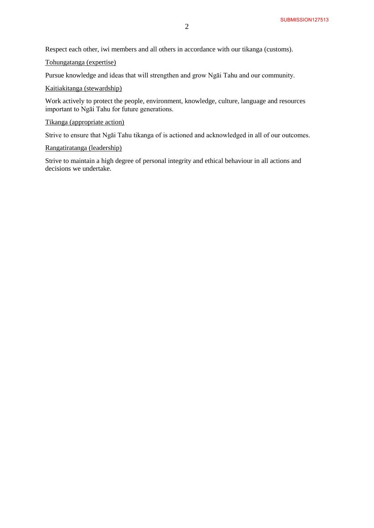Respect each other, iwi members and all others in accordance with our tikanga (customs).

Tohungatanga (expertise)

Pursue knowledge and ideas that will strengthen and grow Ngāi Tahu and our community.

## Kaitiakitanga (stewardship)

Work actively to protect the people, environment, knowledge, culture, language and resources important to Ngāi Tahu for future generations.

# Tikanga (appropriate action)

Strive to ensure that Ngāi Tahu tikanga of is actioned and acknowledged in all of our outcomes.

#### Rangatiratanga (leadership)

Strive to maintain a high degree of personal integrity and ethical behaviour in all actions and decisions we undertake.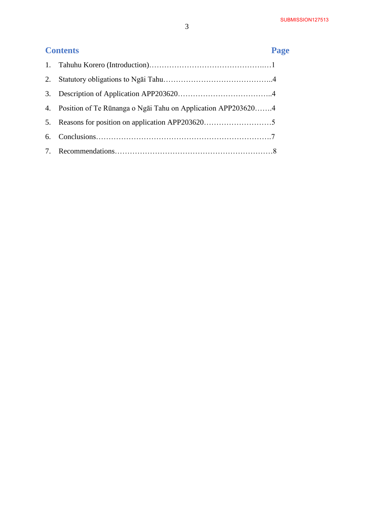# **Contents Page**

| 2. |                                                                 |
|----|-----------------------------------------------------------------|
| 3. |                                                                 |
|    | 4. Position of Te Rūnanga o Ngai Tahu on Application APP2036204 |
|    |                                                                 |
| 6. |                                                                 |
|    |                                                                 |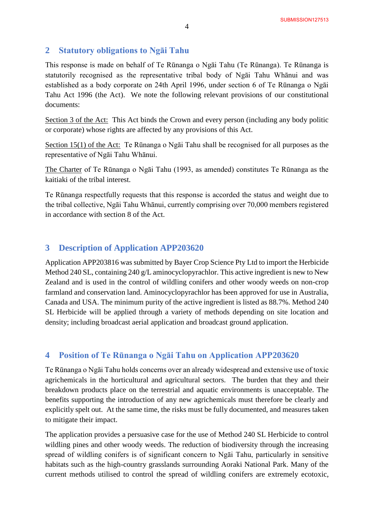# **2 Statutory obligations to Ngāi Tahu**

This response is made on behalf of Te Rūnanga o Ngāi Tahu (Te Rūnanga). Te Rūnanga is statutorily recognised as the representative tribal body of Ngāi Tahu Whānui and was established as a body corporate on 24th April 1996, under section 6 of Te Rūnanga o Ngāi Tahu Act 1996 (the Act). We note the following relevant provisions of our constitutional documents:

Section 3 of the Act: This Act binds the Crown and every person (including any body politic or corporate) whose rights are affected by any provisions of this Act.

Section 15(1) of the Act: Te Rūnanga o Ngāi Tahu shall be recognised for all purposes as the representative of Ngāi Tahu Whānui.

The Charter of Te Rūnanga o Ngāi Tahu (1993, as amended) constitutes Te Rūnanga as the kaitiaki of the tribal interest.

Te Rūnanga respectfully requests that this response is accorded the status and weight due to the tribal collective, Ngāi Tahu Whānui, currently comprising over 70,000 members registered in accordance with section 8 of the Act.

# **3 Description of Application APP203620**

Application APP203816 was submitted by Bayer Crop Science Pty Ltd to import the Herbicide Method 240 SL, containing 240 g/L aminocyclopyrachlor. This active ingredient is new to New Zealand and is used in the control of wildling conifers and other woody weeds on non-crop farmland and conservation land. Aminocyclopyrachlor has been approved for use in Australia, Canada and USA. The minimum purity of the active ingredient is listed as 88.7%. Method 240 SL Herbicide will be applied through a variety of methods depending on site location and density; including broadcast aerial application and broadcast ground application.

# **4 Position of Te Rūnanga o Ngāi Tahu on Application APP203620**

Te Rūnanga o Ngāi Tahu holds concerns over an already widespread and extensive use of toxic agrichemicals in the horticultural and agricultural sectors. The burden that they and their breakdown products place on the terrestrial and aquatic environments is unacceptable. The benefits supporting the introduction of any new agrichemicals must therefore be clearly and explicitly spelt out. At the same time, the risks must be fully documented, and measures taken to mitigate their impact.

The application provides a persuasive case for the use of Method 240 SL Herbicide to control wildling pines and other woody weeds. The reduction of biodiversity through the increasing spread of wildling conifers is of significant concern to Ngāi Tahu, particularly in sensitive habitats such as the high-country grasslands surrounding Aoraki National Park. Many of the current methods utilised to control the spread of wildling conifers are extremely ecotoxic,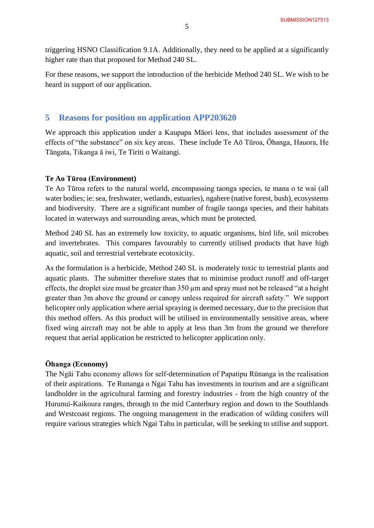triggering HSNO Classification 9.1A. Additionally, they need to be applied at a significantly higher rate than that proposed for Method 240 SL.

For these reasons, we support the introduction of the herbicide Method 240 SL. We wish to be heard in support of our application.

# **5 Reasons for position on application APP203620**

We approach this application under a Kaupapa Māori lens, that includes assessment of the effects of "the substance" on six key areas. These include Te Aō Tūroa, Ōhanga, Hauora, He Tāngata, Tikanga ā iwi, Te Tiriti o Waitangi.

## **Te Ao Tūroa (Environment)**

Te Ao Tūroa refers to the natural world, encompassing taonga species, te mana o te wai (all water bodies; ie: sea, freshwater, wetlands, estuaries), ngahere (native forest, bush), ecosystems and biodiversity. There are a significant number of fragile taonga species, and their habitats located in waterways and surrounding areas, which must be protected.

Method 240 SL has an extremely low toxicity, to aquatic organisms, bird life, soil microbes and invertebrates. This compares favourably to currently utilised products that have high aquatic, soil and terrestrial vertebrate ecotoxicity.

As the formulation is a herbicide, Method 240 SL is moderately toxic to terrestrial plants and aquatic plants. The submitter therefore states that to minimise product runoff and off-target effects, the droplet size must be greater than 350 µm and spray must not be released "at a height greater than 3m above the ground or canopy unless required for aircraft safety." We support helicopter only application where aerial spraying is deemed necessary, due to the precision that this method offers. As this product will be utilised in environmentally sensitive areas, where fixed wing aircraft may not be able to apply at less than 3m from the ground we therefore request that aerial application be restricted to helicopter application only.

# **Ōhanga (Economy)**

The Ngāi Tahu economy allows for self-determination of Papatipu Rūnanga in the realisation of their aspirations. Te Runanga o Ngai Tahu has investments in tourism and are a significant landholder in the agricultural farming and forestry industries - from the high country of the Hurunui-Kaikoura ranges, through to the mid Canterbury region and down to the Southlands and Westcoast regions. The ongoing management in the eradication of wilding conifers will require various strategies which Ngai Tahu in particular, will be seeking to utilise and support.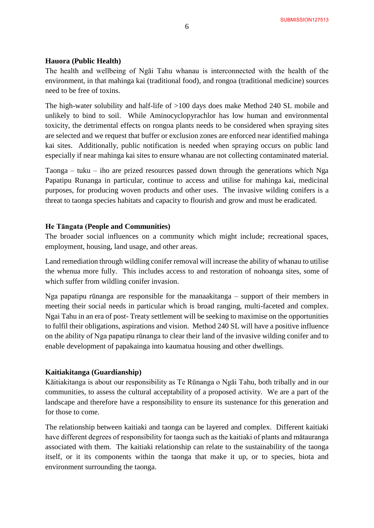#### **Hauora (Public Health)**

The health and wellbeing of Ngāi Tahu whanau is interconnected with the health of the environment, in that mahinga kai (traditional food), and rongoa (traditional medicine) sources need to be free of toxins.

The high-water solubility and half-life of >100 days does make Method 240 SL mobile and unlikely to bind to soil. While Aminocyclopyrachlor has low human and environmental toxicity, the detrimental effects on rongoa plants needs to be considered when spraying sites are selected and we request that buffer or exclusion zones are enforced near identified mahinga kai sites. Additionally, public notification is needed when spraying occurs on public land especially if near mahinga kai sites to ensure whanau are not collecting contaminated material.

Taonga – tuku – iho are prized resources passed down through the generations which Nga Papatipu Runanga in particular, continue to access and utilise for mahinga kai, medicinal purposes, for producing woven products and other uses. The invasive wilding conifers is a threat to taonga species habitats and capacity to flourish and grow and must be eradicated.

#### **He Tāngata (People and Communities)**

The broader social influences on a community which might include; recreational spaces, employment, housing, land usage, and other areas.

Land remediation through wildling conifer removal will increase the ability of whanau to utilise the whenua more fully. This includes access to and restoration of nohoanga sites, some of which suffer from wildling conifer invasion.

Nga papatipu rūnanga are responsible for the manaakitanga – support of their members in meeting their social needs in particular which is broad ranging, multi-faceted and complex. Ngai Tahu in an era of post- Treaty settlement will be seeking to maximise on the opportunities to fulfil their obligations, aspirations and vision. Method 240 SL will have a positive influence on the ability of Nga papatipu rūnanga to clear their land of the invasive wilding conifer and to enable development of papakainga into kaumatua housing and other dwellings.

#### **Kaitiakitanga (Guardianship)**

Kāitiakitanga is about our responsibility as Te Rūnanga o Ngāi Tahu, both tribally and in our communities, to assess the cultural acceptability of a proposed activity. We are a part of the landscape and therefore have a responsibility to ensure its sustenance for this generation and for those to come.

The relationship between kaitiaki and taonga can be layered and complex. Different kaitiaki have different degrees of responsibility for taonga such as the kaitiaki of plants and mātauranga associated with them. The kaitiaki relationship can relate to the sustainability of the taonga itself, or it its components within the taonga that make it up, or to species, biota and environment surrounding the taonga.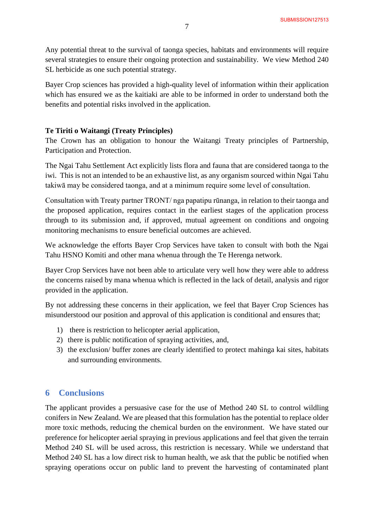Any potential threat to the survival of taonga species, habitats and environments will require several strategies to ensure their ongoing protection and sustainability. We view Method 240 SL herbicide as one such potential strategy.

Bayer Crop sciences has provided a high-quality level of information within their application which has ensured we as the kaitiaki are able to be informed in order to understand both the benefits and potential risks involved in the application.

# **Te Tiriti o Waitangi (Treaty Principles)**

The Crown has an obligation to honour the Waitangi Treaty principles of Partnership, Participation and Protection.

The Ngai Tahu Settlement Act explicitly lists flora and fauna that are considered taonga to the iwi. This is not an intended to be an exhaustive list, as any organism sourced within Ngai Tahu takiwā may be considered taonga, and at a minimum require some level of consultation.

Consultation with Treaty partner TRONT/ nga papatipu rūnanga, in relation to their taonga and the proposed application, requires contact in the earliest stages of the application process through to its submission and, if approved, mutual agreement on conditions and ongoing monitoring mechanisms to ensure beneficial outcomes are achieved.

We acknowledge the efforts Bayer Crop Services have taken to consult with both the Ngai Tahu HSNO Komiti and other mana whenua through the Te Herenga network.

Bayer Crop Services have not been able to articulate very well how they were able to address the concerns raised by mana whenua which is reflected in the lack of detail, analysis and rigor provided in the application.

By not addressing these concerns in their application, we feel that Bayer Crop Sciences has misunderstood our position and approval of this application is conditional and ensures that;

- 1) there is restriction to helicopter aerial application,
- 2) there is public notification of spraying activities, and,
- 3) the exclusion/ buffer zones are clearly identified to protect mahinga kai sites, habitats and surrounding environments.

# **6 Conclusions**

The applicant provides a persuasive case for the use of Method 240 SL to control wildling conifers in New Zealand. We are pleased that this formulation has the potential to replace older more toxic methods, reducing the chemical burden on the environment. We have stated our preference for helicopter aerial spraying in previous applications and feel that given the terrain Method 240 SL will be used across, this restriction is necessary. While we understand that Method 240 SL has a low direct risk to human health, we ask that the public be notified when spraying operations occur on public land to prevent the harvesting of contaminated plant